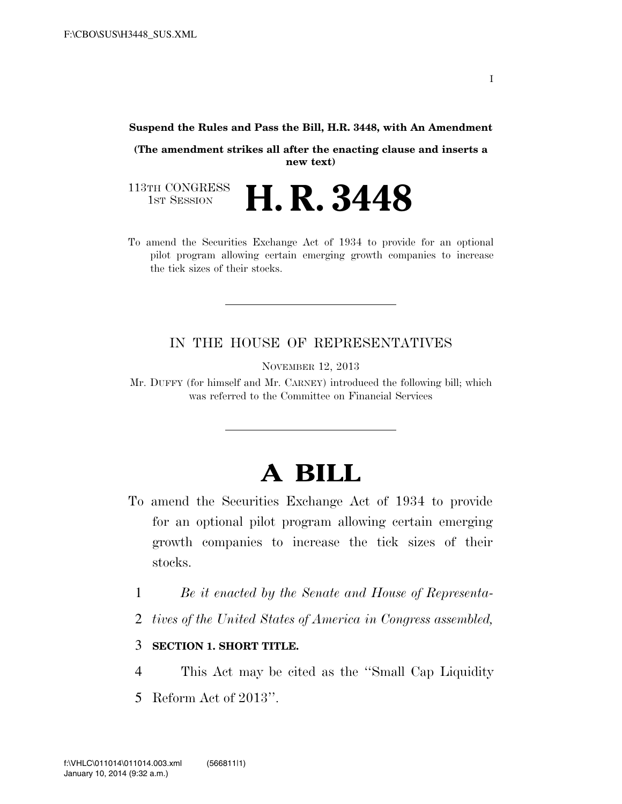## **Suspend the Rules and Pass the Bill, H.R. 3448, with An Amendment**

**(The amendment strikes all after the enacting clause and inserts a new text)**

113TH CONGRESS<br>1st Session **H. R. 3448** 

To amend the Securities Exchange Act of 1934 to provide for an optional pilot program allowing certain emerging growth companies to increase the tick sizes of their stocks.

## IN THE HOUSE OF REPRESENTATIVES

NOVEMBER 12, 2013

Mr. DUFFY (for himself and Mr. CARNEY) introduced the following bill; which was referred to the Committee on Financial Services

## **A BILL**

- To amend the Securities Exchange Act of 1934 to provide for an optional pilot program allowing certain emerging growth companies to increase the tick sizes of their stocks.
	- 1 *Be it enacted by the Senate and House of Representa-*
	- 2 *tives of the United States of America in Congress assembled,*

## 3 **SECTION 1. SHORT TITLE.**

- 4 This Act may be cited as the ''Small Cap Liquidity
- 5 Reform Act of 2013''.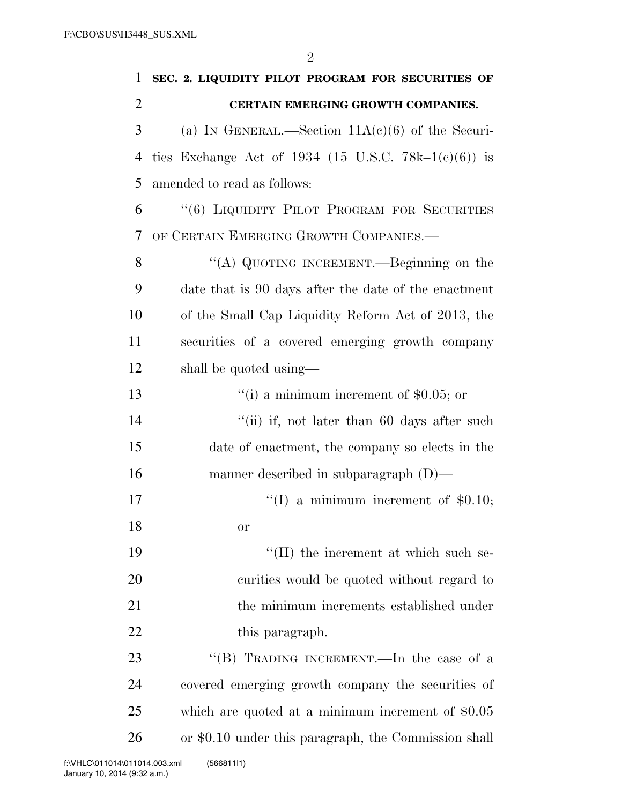| 1              | SEC. 2. LIQUIDITY PILOT PROGRAM FOR SECURITIES OF    |
|----------------|------------------------------------------------------|
| $\overline{2}$ | CERTAIN EMERGING GROWTH COMPANIES.                   |
| 3              | (a) IN GENERAL.—Section $11A(c)(6)$ of the Securi-   |
| 4              | ties Exchange Act of 1934 (15 U.S.C. 78k–1(c)(6)) is |
| 5              | amended to read as follows:                          |
| 6              | "(6) LIQUIDITY PILOT PROGRAM FOR SECURITIES          |
| 7              | OF CERTAIN EMERGING GROWTH COMPANIES.-               |
| 8              | "(A) QUOTING INCREMENT.—Beginning on the             |
| 9              | date that is 90 days after the date of the enactment |
| 10             | of the Small Cap Liquidity Reform Act of 2013, the   |
| 11             | securities of a covered emerging growth company      |
| 12             | shall be quoted using—                               |
| 13             | "(i) a minimum increment of $$0.05$ ; or             |
| 14             | "(ii) if, not later than $60$ days after such        |
| 15             | date of enactment, the company so elects in the      |
| 16             | manner described in subparagraph $(D)$ —             |
| 17             | "(I) a minimum increment of $$0.10;$                 |
| 18             | or                                                   |
| 19             | $\lq\lq$ (II) the increment at which such se-        |
| 20             | curities would be quoted without regard to           |
| 21             | the minimum increments established under             |
| 22             | this paragraph.                                      |
| 23             | "(B) TRADING INCREMENT.—In the case of a             |
| 24             | covered emerging growth company the securities of    |
| 25             | which are quoted at a minimum increment of $$0.05$   |
| 26             | or \$0.10 under this paragraph, the Commission shall |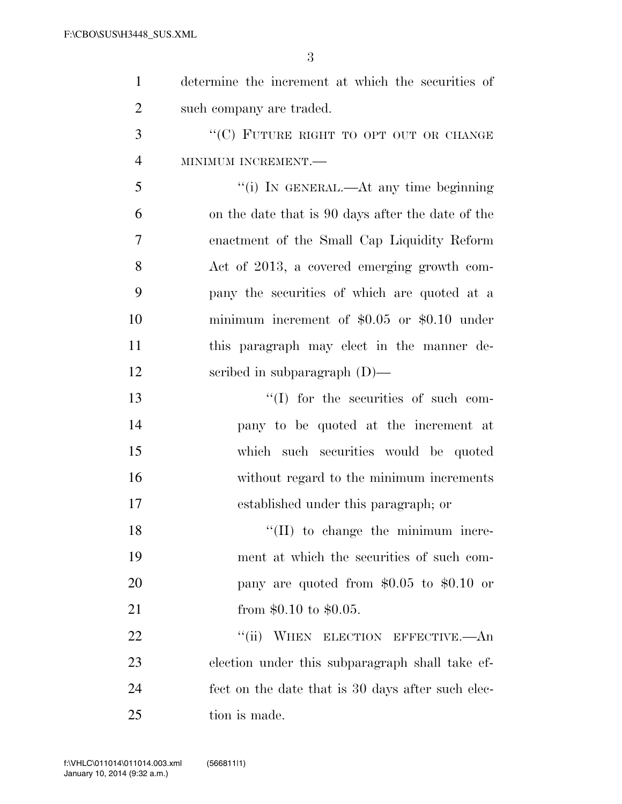|                | 3                                                  |
|----------------|----------------------------------------------------|
| $\mathbf{1}$   | determine the increment at which the securities of |
| $\overline{2}$ | such company are traded.                           |
| 3              | "(C) FUTURE RIGHT TO OPT OUT OR CHANGE             |
| $\overline{4}$ | MINIMUM INCREMENT.-                                |
| 5              | "(i) IN GENERAL.—At any time beginning             |
| 6              | on the date that is 90 days after the date of the  |
| $\overline{7}$ | enactment of the Small Cap Liquidity Reform        |
| 8              | Act of 2013, a covered emerging growth com-        |
| 9              | pany the securities of which are quoted at a       |
| 10             | minimum increment of $$0.05$ or $$0.10$ under      |
| 11             | this paragraph may elect in the manner de-         |
| 12             | scribed in subparagraph $(D)$ —                    |
| 13             | "(I) for the securities of such com-               |
| 14             | pany to be quoted at the increment at              |
| 15             | which such securities would be quoted              |
| 16             | without regard to the minimum increments           |
|                |                                                    |

established under this paragraph; or

18 ''(II) to change the minimum incre- ment at which the securities of such com- pany are quoted from \$0.05 to \$0.10 or 21 from \$0.10 to \$0.05.

22 "(ii) WHEN ELECTION EFFECTIVE.—An election under this subparagraph shall take ef- fect on the date that is 30 days after such elec-25 tion is made.

 $V_{\rm eff}$  ) and 0.000  $P_{\rm eff}$  is a state of  $\Omega$  . The contract of  $\Delta$   $\Omega$   $\Delta$   $\Delta$   $\Delta$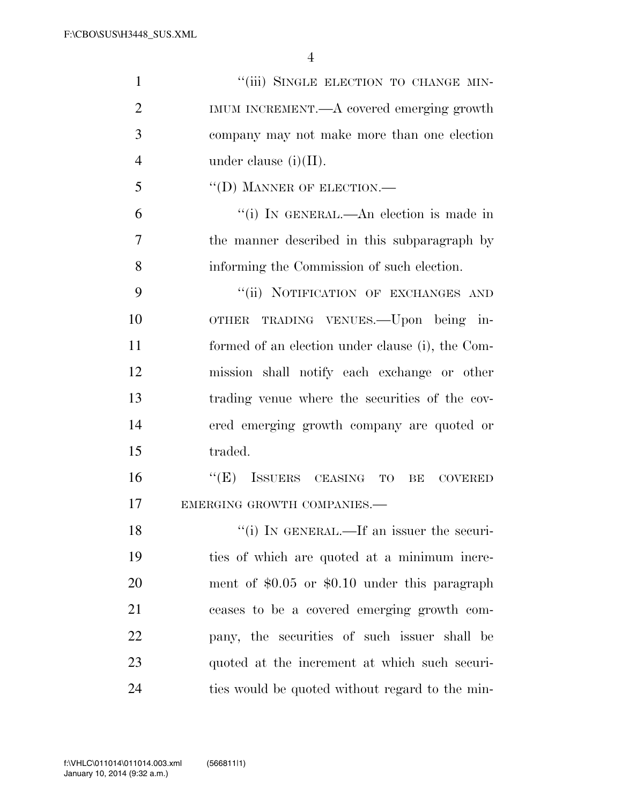| $\mathbf{1}$   | "(iii) SINGLE ELECTION TO CHANGE MIN-            |
|----------------|--------------------------------------------------|
| $\overline{2}$ | IMUM INCREMENT.—A covered emerging growth        |
| 3              | company may not make more than one election      |
| $\overline{4}$ | under clause $(i)(II)$ .                         |
| 5              | "(D) MANNER OF ELECTION.-                        |
| 6              | "(i) IN GENERAL.—An election is made in          |
| 7              | the manner described in this subparagraph by     |
| 8              | informing the Commission of such election.       |
| 9              | "(ii) NOTIFICATION OF EXCHANGES AND              |
| 10             | OTHER TRADING VENUES. - Upon being in-           |
| 11             | formed of an election under clause (i), the Com- |
| 12             | mission shall notify each exchange or other      |
| 13             | trading venue where the securities of the cov-   |
| 14             | ered emerging growth company are quoted or       |
| 15             | traded.                                          |
| 16             | "(E) ISSUERS CEASING TO BE COVERED               |
| 17             | EMERGING GROWTH COMPANIES.-                      |
| 18             | "(i) IN GENERAL.—If an issuer the securi-        |
| 19             | ties of which are quoted at a minimum incre-     |
| 20             | ment of $$0.05$ or $$0.10$ under this paragraph  |
| 21             | ceases to be a covered emerging growth com-      |
| 22             | pany, the securities of such issuer shall be     |
| 23             | quoted at the increment at which such securi-    |
| 24             | ties would be quoted without regard to the min-  |

 $V_{\rm eff}$  ) and 0.000  $P_{\rm eff}$  is a state of  $\Omega$  . The contract of  $\Delta$   $\Omega$   $\Delta$   $\Delta$   $\Delta$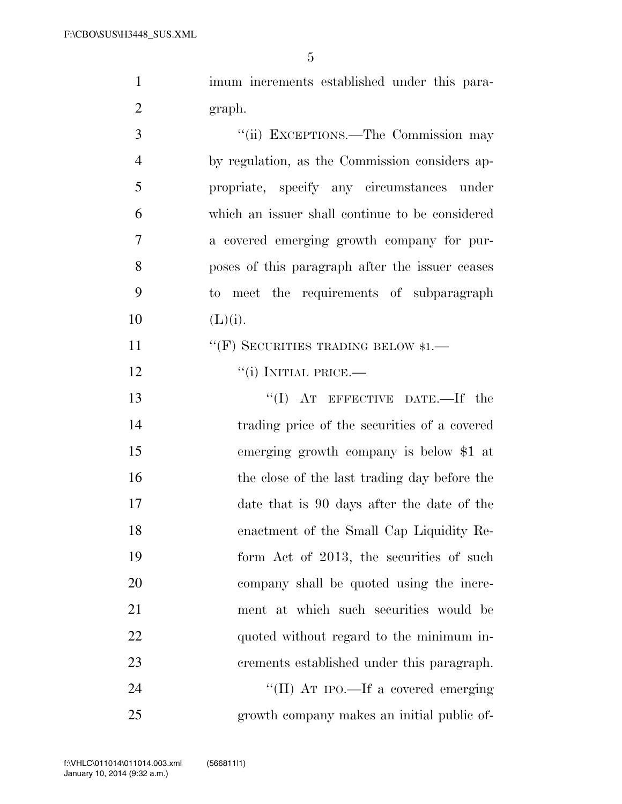1 imum increments established under this para-2 graph. 3 "(ii) EXCEPTIONS.—The Commission may

 by regulation, as the Commission considers ap- propriate, specify any circumstances under which an issuer shall continue to be considered a covered emerging growth company for pur- poses of this paragraph after the issuer ceases to meet the requirements of subparagraph 10  $(L)(i)$ .

11 "(F) SECURITIES TRADING BELOW \$1.—

12 "(i) INITIAL PRICE.—

 ''(I) AT EFFECTIVE DATE.—If the trading price of the securities of a covered emerging growth company is below \$1 at 16 the close of the last trading day before the date that is 90 days after the date of the enactment of the Small Cap Liquidity Re-19 form Act of 2013, the securities of such company shall be quoted using the incre- ment at which such securities would be 22 quoted without regard to the minimum in- crements established under this paragraph.  $\text{``(II)}$  AT IPO.—If a covered emerging growth company makes an initial public of-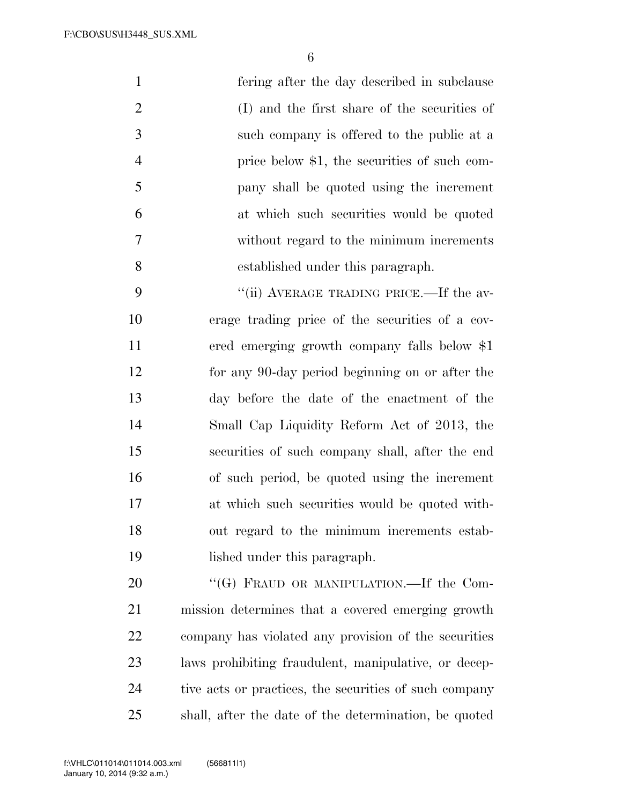fering after the day described in subclause (I) and the first share of the securities of such company is offered to the public at a 4 price below \$1, the securities of such com- pany shall be quoted using the increment at which such securities would be quoted without regard to the minimum increments established under this paragraph.

9 "(ii) AVERAGE TRADING PRICE.—If the av- erage trading price of the securities of a cov- ered emerging growth company falls below \$1 for any 90-day period beginning on or after the day before the date of the enactment of the Small Cap Liquidity Reform Act of 2013, the securities of such company shall, after the end of such period, be quoted using the increment at which such securities would be quoted with- out regard to the minimum increments estab-lished under this paragraph.

20 "(G) FRAUD OR MANIPULATION.—If the Com- mission determines that a covered emerging growth company has violated any provision of the securities laws prohibiting fraudulent, manipulative, or decep- tive acts or practices, the securities of such company shall, after the date of the determination, be quoted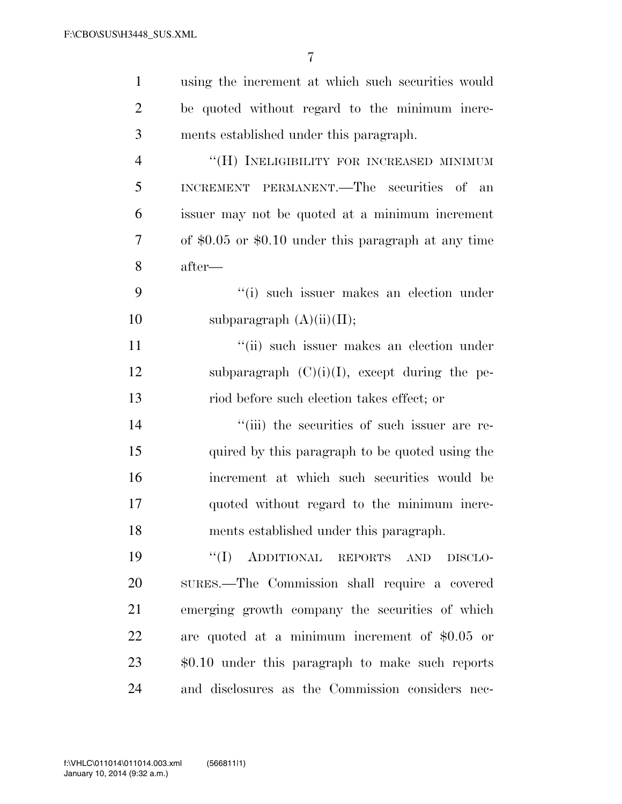| $\mathbf{1}$   | using the increment at which such securities would     |
|----------------|--------------------------------------------------------|
| $\overline{c}$ | be quoted without regard to the minimum incre-         |
| 3              | ments established under this paragraph.                |
| $\overline{4}$ | "(H) INELIGIBILITY FOR INCREASED MINIMUM               |
| 5              | INCREMENT PERMANENT.—The securities of an              |
| 6              | issuer may not be quoted at a minimum increment        |
| $\tau$         | of $$0.05$ or $$0.10$ under this paragraph at any time |
| 8              | after—                                                 |
| 9              | "(i) such issuer makes an election under               |
| 10             | subparagraph $(A)(ii)(II);$                            |
| 11             | "(ii) such issuer makes an election under              |
| 12             | subparagraph $(C)(i)(I)$ , except during the pe-       |
| 13             | riod before such election takes effect; or             |
| 14             | "(iii) the securities of such issuer are re-           |
| 15             | quired by this paragraph to be quoted using the        |
| 16             | increment at which such securities would be            |
| 17             | quoted without regard to the minimum incre-            |
| 18             | ments established under this paragraph.                |
| 19             | "(I) ADDITIONAL REPORTS AND<br>DISCLO-                 |
| 20             | SURES.—The Commission shall require a covered          |
| 21             | emerging growth company the securities of which        |
| 22             | are quoted at a minimum increment of $$0.05$ or        |
| 23             | $$0.10$ under this paragraph to make such reports      |
| 24             | and disclosures as the Commission considers nec-       |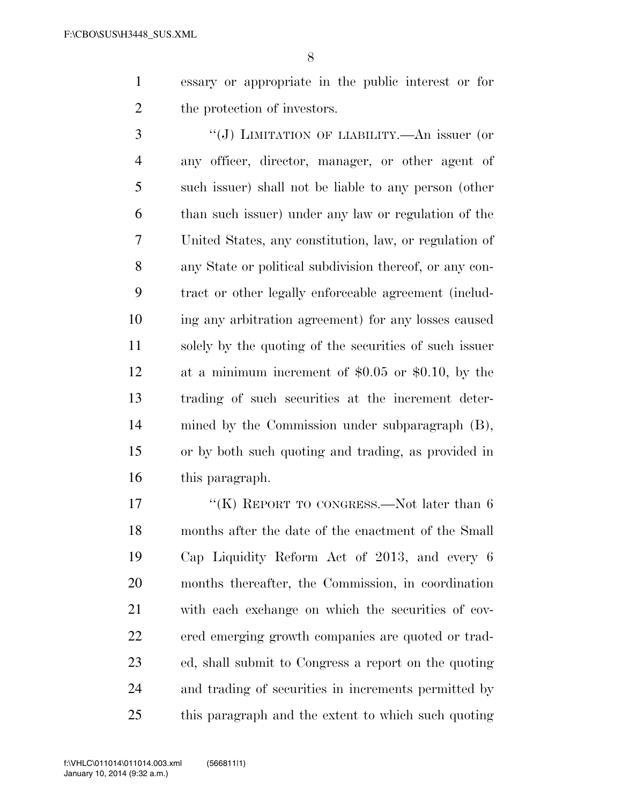essary or appropriate in the public interest or for the protection of investors.

 ''(J) LIMITATION OF LIABILITY.—An issuer (or any officer, director, manager, or other agent of such issuer) shall not be liable to any person (other than such issuer) under any law or regulation of the United States, any constitution, law, or regulation of any State or political subdivision thereof, or any con- tract or other legally enforceable agreement (includ- ing any arbitration agreement) for any losses caused solely by the quoting of the securities of such issuer at a minimum increment of \$0.05 or \$0.10, by the trading of such securities at the increment deter- mined by the Commission under subparagraph (B), or by both such quoting and trading, as provided in this paragraph.

17 "(K) REPORT TO CONGRESS.—Not later than 6 months after the date of the enactment of the Small Cap Liquidity Reform Act of 2013, and every 6 months thereafter, the Commission, in coordination with each exchange on which the securities of cov- ered emerging growth companies are quoted or trad- ed, shall submit to Congress a report on the quoting and trading of securities in increments permitted by this paragraph and the extent to which such quoting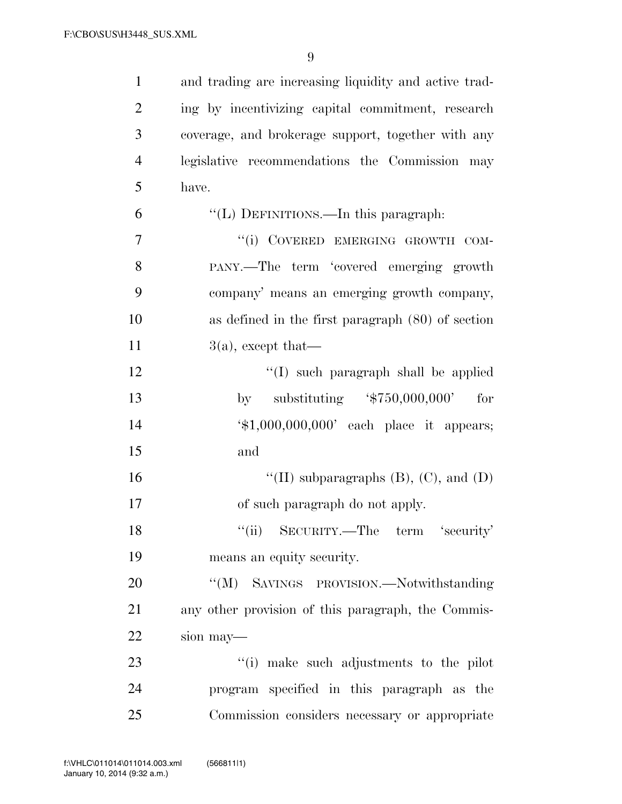| $\mathbf{1}$   | and trading are increasing liquidity and active trad-       |
|----------------|-------------------------------------------------------------|
| $\overline{2}$ | ing by incentivizing capital commitment, research           |
| 3              | coverage, and brokerage support, together with any          |
| $\overline{4}$ | legislative recommendations the Commission may              |
| 5              | have.                                                       |
| 6              | "(L) DEFINITIONS.—In this paragraph:                        |
| 7              | "(i) COVERED EMERGING GROWTH COM-                           |
| 8              | PANY.—The term 'covered emerging growth                     |
| 9              | company' means an emerging growth company,                  |
| 10             | as defined in the first paragraph $(80)$ of section         |
| 11             | $3(a)$ , except that—                                       |
| 12             | $\lq\lq$ such paragraph shall be applied                    |
| 13             | substituting $*50,000,000'$<br>for<br>by                    |
| 14             | $\text{\textsterling}1,000,000,000'$ each place it appears; |
| 15             | and                                                         |
| 16             | "(II) subparagraphs $(B)$ , $(C)$ , and $(D)$               |
| 17             | of such paragraph do not apply.                             |
| 18             | "(ii) SECURITY.—The term 'security'                         |
| 19             | means an equity security.                                   |
| 20             | "(M) SAVINGS PROVISION.—Notwithstanding                     |
| 21             | any other provision of this paragraph, the Commis-          |
| 22             | sion may—                                                   |
| 23             | "(i) make such adjustments to the pilot                     |
| 24             | program specified in this paragraph as the                  |
| 25             | Commission considers necessary or appropriate               |

 $V_{\rm eff}$  ) and 0.000  $P_{\rm eff}$  is a state of the documental  $\Delta$  and  $\Delta$   $\Delta$   $\Delta$   $\Delta$   $\Delta$   $\Delta$